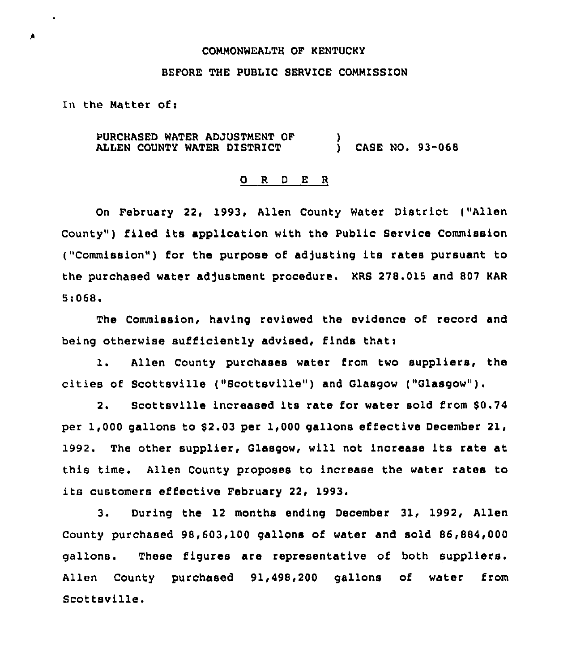## COMMONWEALTH OF KENTUCKY

### 8EFORE THE PUBLIC SERVICE COMMISSION

In the Matter of:

PURCHASED WATER ADJUSTMENT OF ALLEN COUNTY WATER DISTRICT  $\mathbf{\tilde{}}$ CASE NO. 93-068

### 0 <sup>R</sup> <sup>D</sup> E <sup>R</sup>

On February 22, 1993, Allen County Water District ("Allen County") filed its application with the Public Service Commission ("Commission") for the purpose of adjusting its rates pursuant to the purchased water adjustment procedure. KRS 278.015 and 807 KAR 5:068.

The Commission, having reviewed the evidence of record and being otherwise sufficiently advised, finds that:

l. Allen County purchases water from two suppliers, the cities of Scottsville ("Scottsville") and Glasgow ("Glasgow" ).

2. Scottsville increased its rate for water sold from \$0.74 per 1,000 gallons to \$2.03 per 1,000 gallons effective December 21, 1992. The other supplier, Glasgow, will not increase its rate at this time. Allen County proposes to increase the water rates to its customers effective February 22, 1993.

3. During the 12 months ending December 31, 1992, Allen County purchased 98,603,100 gallons of water and sold 86,884,000 gallons. These figures are representative of both suppliers. Allen County purchased 91,498,200 gallons of water from Scottsville.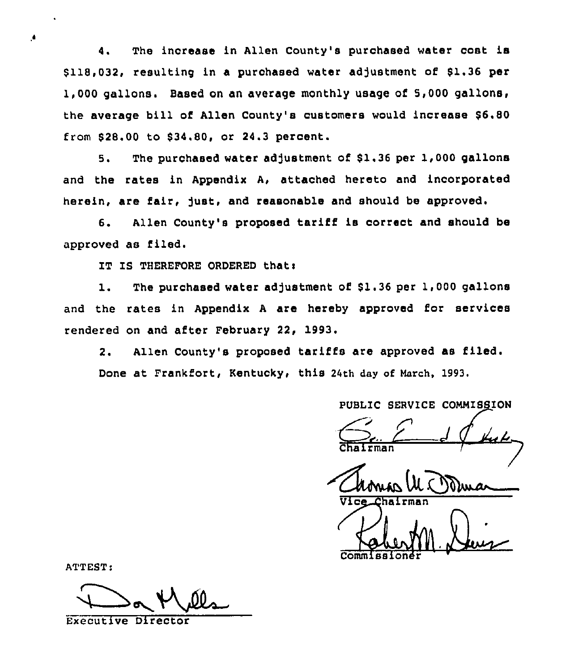4. The increase in Allen County's purchased water cost is \$ 118,032, resulting in a purchased water adjustment of \$1.36 per 1,000 gallons. Based on an average monthly usage of 5,000 gallons, the average bill of Allen County's customers would increase \$6.80 from \$28.00 to \$34.80, or 24.3 percent.

5. The purchased water adjustment of \$1,36 per 1,000 gallons and the rates in Appendix A, attached hereto and incorporated herein, are fair, Just, and reasonable and should be approved.

6. Allen County's proposed tariff is correct and should be approved as filed.

IT IS THEREFORE ORDERED that:

1. The purchased water adjustment of \$1.36 per 1,000 gallons and the rates in Appendix <sup>A</sup> are hereby approved for services rendered on and after February 22, 1993.

2. Allen County's proposed tariffs are approved as filed. Done at Frankfort, Kentucky, this 24th day of March, 1993.

PUBLIC SERVICE COMMISSION

hairman Commissione

ATTEST:

 $\bullet$ 

Executive Director